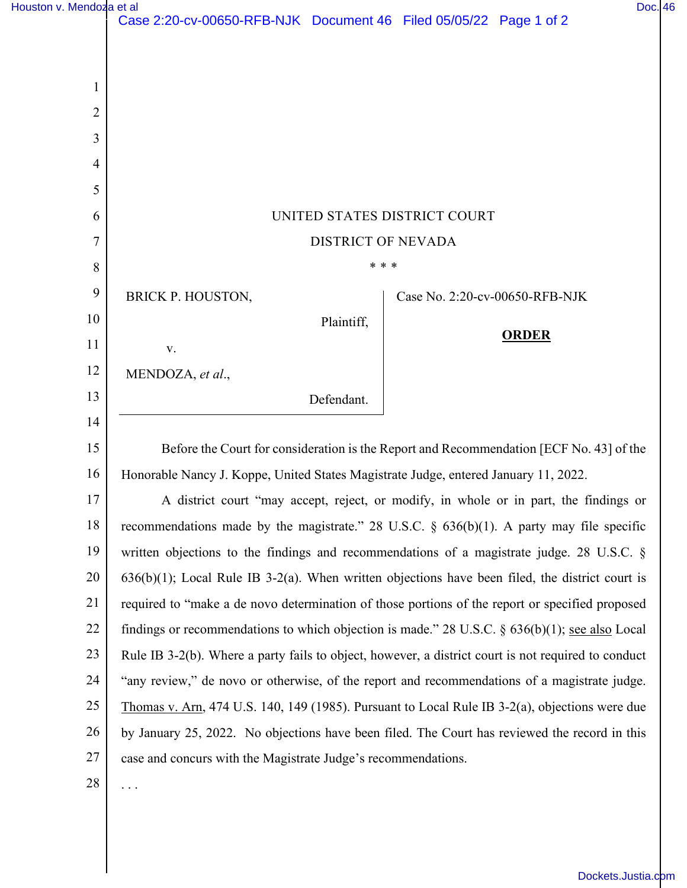|                | Case 2:20-cv-00650-RFB-NJK Document 46 Filed 05/05/22 Page 1 of 2                                   |
|----------------|-----------------------------------------------------------------------------------------------------|
|                |                                                                                                     |
| 1              |                                                                                                     |
| $\overline{2}$ |                                                                                                     |
| 3              |                                                                                                     |
| $\overline{4}$ |                                                                                                     |
| 5              |                                                                                                     |
| 6              | UNITED STATES DISTRICT COURT                                                                        |
| 7              | <b>DISTRICT OF NEVADA</b>                                                                           |
| 8              | * * *                                                                                               |
| 9              | <b>BRICK P. HOUSTON,</b><br>Case No. 2:20-cv-00650-RFB-NJK                                          |
| 10             | Plaintiff,                                                                                          |
| 11             | <b>ORDER</b><br>V.                                                                                  |
| 12             | MENDOZA, et al.,                                                                                    |
| 13             | Defendant.                                                                                          |
| 14             |                                                                                                     |
| 15             | Before the Court for consideration is the Report and Recommendation [ECF No. 43] of the             |
| 16             | Honorable Nancy J. Koppe, United States Magistrate Judge, entered January 11, 2022.                 |
| 17             | A district court "may accept, reject, or modify, in whole or in part, the findings or               |
| 18             | recommendations made by the magistrate." 28 U.S.C. $\S$ 636(b)(1). A party may file specific        |
| 19             | written objections to the findings and recommendations of a magistrate judge. 28 U.S.C. §           |
| 20             | $636(b)(1)$ ; Local Rule IB 3-2(a). When written objections have been filed, the district court is  |
| 21             | required to "make a de novo determination of those portions of the report or specified proposed     |
| 22             | findings or recommendations to which objection is made." 28 U.S.C. $\S$ 636(b)(1); see also Local   |
| 23             | Rule IB 3-2(b). Where a party fails to object, however, a district court is not required to conduct |
| 24             | "any review," de novo or otherwise, of the report and recommendations of a magistrate judge.        |
| 25             | Thomas v. Arn, 474 U.S. 140, 149 (1985). Pursuant to Local Rule IB $3-2(a)$ , objections were due   |
| 26             | by January 25, 2022. No objections have been filed. The Court has reviewed the record in this       |
| $27\,$         | case and concurs with the Magistrate Judge's recommendations.                                       |
| 28             | .                                                                                                   |
|                |                                                                                                     |